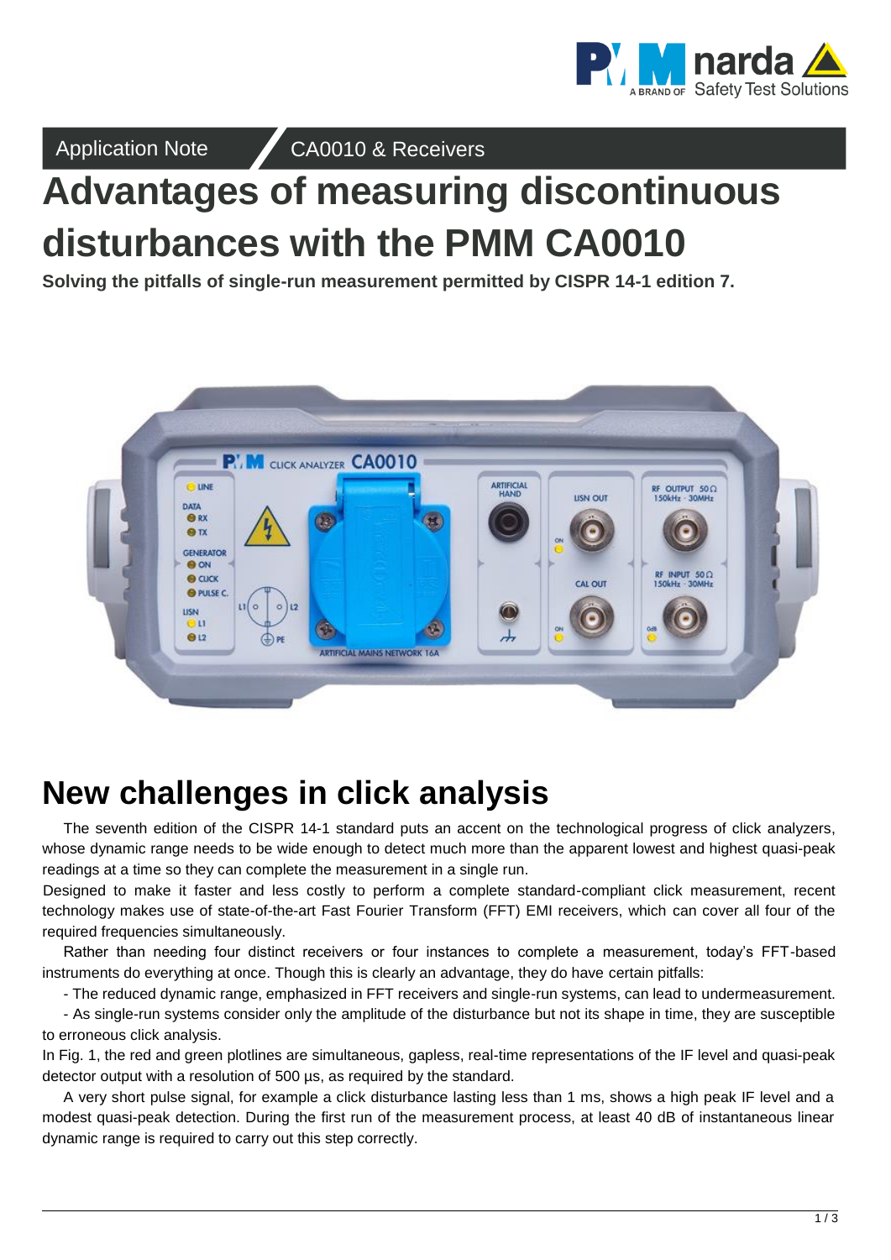

Application Note CA0010 & Receivers

# **Advantages of measuring discontinuous disturbances with the PMM CA0010**

**Solving the pitfalls of single-run measurement permitted by CISPR 14-1 edition 7.**



## **New challenges in click analysis**

The seventh edition of the CISPR 14-1 standard puts an accent on the technological progress of click analyzers, whose dynamic range needs to be wide enough to detect much more than the apparent lowest and highest quasi-peak readings at a time so they can complete the measurement in a single run.

Designed to make it faster and less costly to perform a complete standard-compliant click measurement, recent technology makes use of state-of-the-art Fast Fourier Transform (FFT) EMI receivers, which can cover all four of the required frequencies simultaneously.

Rather than needing four distinct receivers or four instances to complete a measurement, today's FFT-based instruments do everything at once. Though this is clearly an advantage, they do have certain pitfalls:

- The reduced dynamic range, emphasized in FFT receivers and single-run systems, can lead to undermeasurement.

- As single-run systems consider only the amplitude of the disturbance but not its shape in time, they are susceptible to erroneous click analysis.

In Fig. 1, the red and green plotlines are simultaneous, gapless, real-time representations of the IF level and quasi-peak detector output with a resolution of 500 µs, as required by the standard.

A very short pulse signal, for example a click disturbance lasting less than 1 ms, shows a high peak IF level and a modest quasi-peak detection. During the first run of the measurement process, at least 40 dB of instantaneous linear dynamic range is required to carry out this step correctly.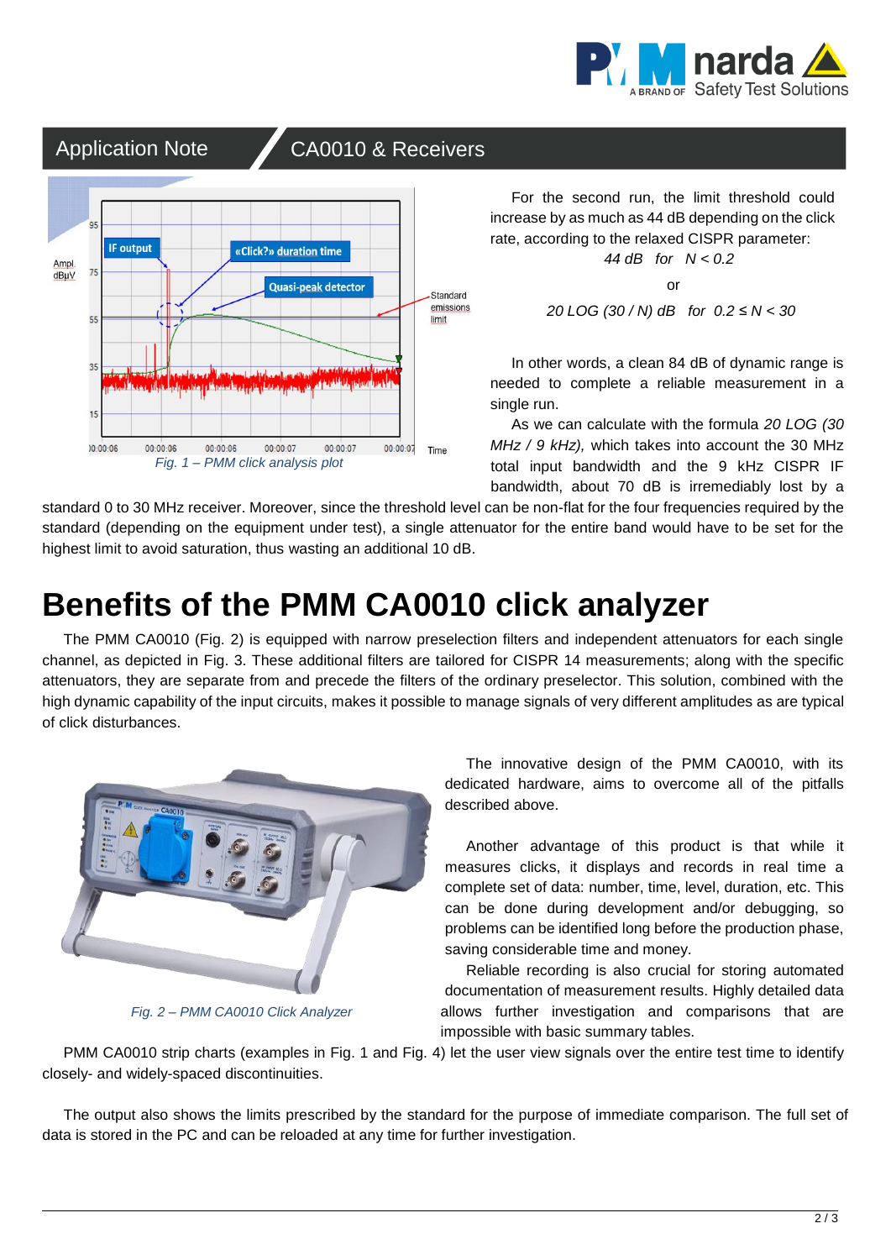

### Application Note CA0010 & Receivers



For the second run, the limit threshold could increase by as much as 44 dB depending on the click rate, according to the relaxed CISPR parameter: *44 dB for N < 0.2*

or

*20 LOG (30 / N) dB for 0.2 ≤ N < 30*

In other words, a clean 84 dB of dynamic range is needed to complete a reliable measurement in a single run.

As we can calculate with the formula *20 LOG (30 MHz / 9 kHz),* which takes into account the 30 MHz total input bandwidth and the 9 kHz CISPR IF bandwidth, about 70 dB is irremediably lost by a

standard 0 to 30 MHz receiver. Moreover, since the threshold level can be non-flat for the four frequencies required by the standard (depending on the equipment under test), a single attenuator for the entire band would have to be set for the highest limit to avoid saturation, thus wasting an additional 10 dB.

## **Benefits of the PMM CA0010 click analyzer**

The PMM CA0010 (Fig. 2) is equipped with narrow preselection filters and independent attenuators for each single channel, as depicted in Fig. 3. These additional filters are tailored for CISPR 14 measurements; along with the specific attenuators, they are separate from and precede the filters of the ordinary preselector. This solution, combined with the high dynamic capability of the input circuits, makes it possible to manage signals of very different amplitudes as are typical of click disturbances.



*Fig. 2 – PMM CA0010 Click Analyzer*

The innovative design of the PMM CA0010, with its dedicated hardware, aims to overcome all of the pitfalls described above.

Another advantage of this product is that while it measures clicks, it displays and records in real time a complete set of data: number, time, level, duration, etc. This can be done during development and/or debugging, so problems can be identified long before the production phase, saving considerable time and money.

Reliable recording is also crucial for storing automated documentation of measurement results. Highly detailed data allows further investigation and comparisons that are impossible with basic summary tables.

PMM CA0010 strip charts (examples in Fig. 1 and Fig. 4) let the user view signals over the entire test time to identify closely- and widely-spaced discontinuities.

The output also shows the limits prescribed by the standard for the purpose of immediate comparison. The full set of data is stored in the PC and can be reloaded at any time for further investigation.